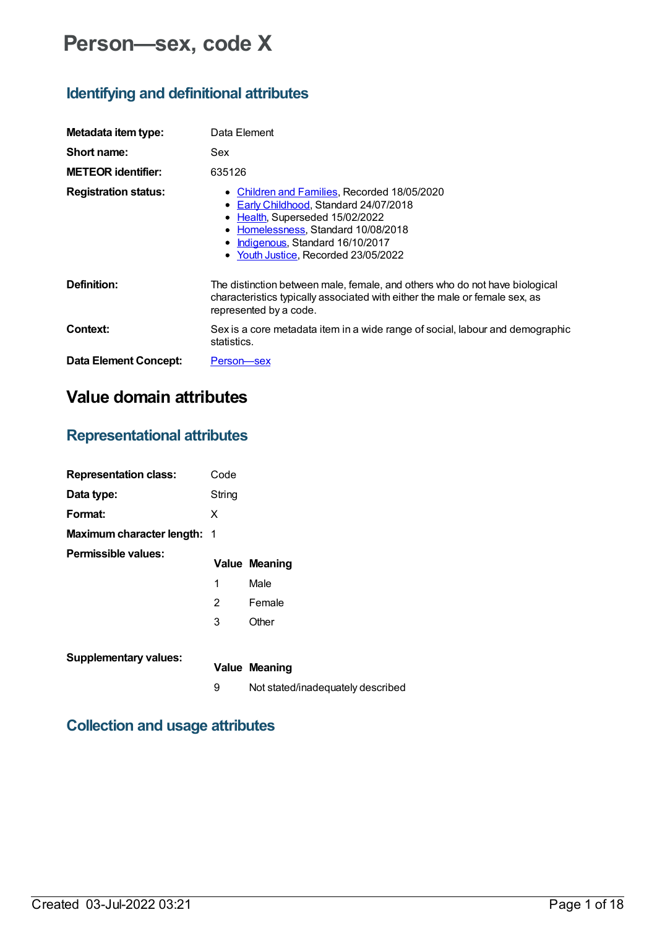# **Person—sex, code X**

### **Identifying and definitional attributes**

| Metadata item type:          | Data Element                                                                                                                                                                                                                              |
|------------------------------|-------------------------------------------------------------------------------------------------------------------------------------------------------------------------------------------------------------------------------------------|
| Short name:                  | Sex                                                                                                                                                                                                                                       |
| <b>METEOR identifier:</b>    | 635126                                                                                                                                                                                                                                    |
| <b>Registration status:</b>  | • Children and Families, Recorded 18/05/2020<br>• Early Childhood, Standard 24/07/2018<br>• Health, Superseded 15/02/2022<br>• Homelessness, Standard 10/08/2018<br>Indigenous, Standard 16/10/2017<br>Youth Justice, Recorded 23/05/2022 |
| Definition:                  | The distinction between male, female, and others who do not have biological<br>characteristics typically associated with either the male or female sex, as<br>represented by a code.                                                      |
| Context:                     | Sex is a core metadata item in a wide range of social, labour and demographic<br>statistics.                                                                                                                                              |
| <b>Data Element Concept:</b> | Person-sex                                                                                                                                                                                                                                |

## **Value domain attributes**

### **Representational attributes**

| <b>Representation class:</b>       | Code   |                                   |
|------------------------------------|--------|-----------------------------------|
| Data type:                         | String |                                   |
| Format:                            | X      |                                   |
| <b>Maximum character length: 1</b> |        |                                   |
| Permissible values:                |        | <b>Value Meaning</b>              |
|                                    | 1      | Male                              |
|                                    | 2      | Female                            |
|                                    | 3      | Other                             |
| <b>Supplementary values:</b>       |        | <b>Value Meaning</b>              |
|                                    | 9      | Not stated/inadequately described |

### **Collection and usage attributes**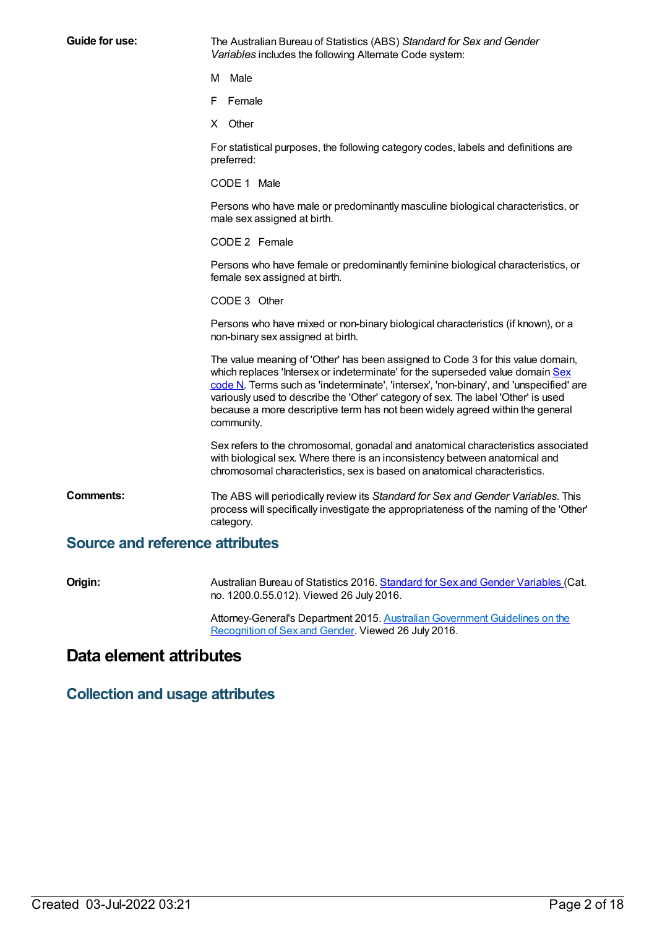**Guide for use:** The Australian Bureau of Statistics (ABS) *Standard for Sex and Gender Variables* includes the following Alternate Code system:

M Male

- F Female
- X Other

For statistical purposes, the following category codes, labels and definitions are preferred:

CODE 1 Male

Persons who have male or predominantly masculine biological characteristics, or male sex assigned at birth.

CODE 2 Female

Persons who have female or predominantly feminine biological characteristics, or female sex assigned at birth.

CODE 3 Other

Persons who have mixed or non-binary biological characteristics (if known), or a non-binary sex assigned at birth.

The value meaning of 'Other' has been assigned to Code 3 for this value domain, which replaces 'Intersex or [indeterminate'](file:///content/270807) for the superseded value domain Sex code N. Terms such as 'indeterminate', 'intersex', 'non-binary', and 'unspecified' are variously used to describe the 'Other' category of sex. The label 'Other' is used because a more descriptive term has not been widely agreed within the general community.

Sex refers to the chromosomal, gonadal and anatomical characteristics associated with biological sex. Where there is an inconsistency between anatomical and chromosomal characteristics, sex is based on anatomical characteristics.

**Comments:** The ABS will periodically review its *Standard for Sex and Gender Variables*. This process will specifically investigate the appropriateness of the naming of the 'Other' category.

### **Source and reference attributes**

**Origin:** Australian Bureau of Statistics 2016. Standard for Sex and Gender [Variables](http://abs.gov.au/ausstats/abs@.nsf/latestProducts/1200.0.55.012Media%20Release12016) (Cat. no. 1200.0.55.012). Viewed 26 July 2016.

> Attorney-General's Department 2015. [AustralianGovernment](https://www.ag.gov.au/Publications/Pages/AustralianGovernmentGuidelinesontheRecognitionofSexandGender.aspx) Guidelines on the Recognition of Sex and Gender. Viewed 26 July 2016.

### **Data element attributes**

**Collection and usage attributes**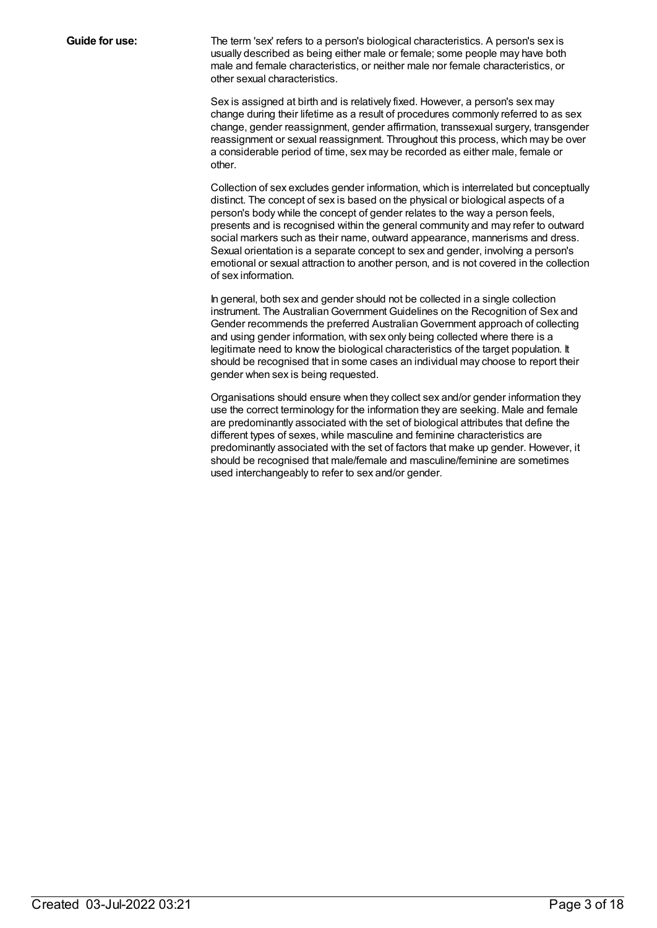**Guide for use:** The term 'sex' refers to a person's biological characteristics. A person's sex is usually described as being either male or female; some people may have both male and female characteristics, or neither male nor female characteristics, or other sexual characteristics.

> Sex is assigned at birth and is relatively fixed. However, a person's sex may change during their lifetime as a result of procedures commonly referred to as sex change, gender reassignment, gender affirmation, transsexual surgery, transgender reassignment or sexual reassignment. Throughout this process, which may be over a considerable period of time, sex may be recorded as either male, female or other.

> Collection of sex excludes gender information, which is interrelated but conceptually distinct. The concept of sex is based on the physical or biological aspects of a person's body while the concept of gender relates to the way a person feels, presents and is recognised within the general community and may refer to outward social markers such as their name, outward appearance, mannerisms and dress. Sexual orientation is a separate concept to sex and gender, involving a person's emotional or sexual attraction to another person, and is not covered in the collection of sex information.

In general, both sex and gender should not be collected in a single collection instrument. The AustralianGovernment Guidelines on the Recognition of Sex and Gender recommends the preferred AustralianGovernment approach of collecting and using gender information, with sex only being collected where there is a legitimate need to know the biological characteristics of the target population. It should be recognised that in some cases an individual may choose to report their gender when sex is being requested.

Organisations should ensure when they collect sex and/or gender information they use the correct terminology for the information they are seeking. Male and female are predominantly associated with the set of biological attributes that define the different types of sexes, while masculine and feminine characteristics are predominantly associated with the set of factors that make up gender. However, it should be recognised that male/female and masculine/feminine are sometimes used interchangeably to refer to sex and/or gender.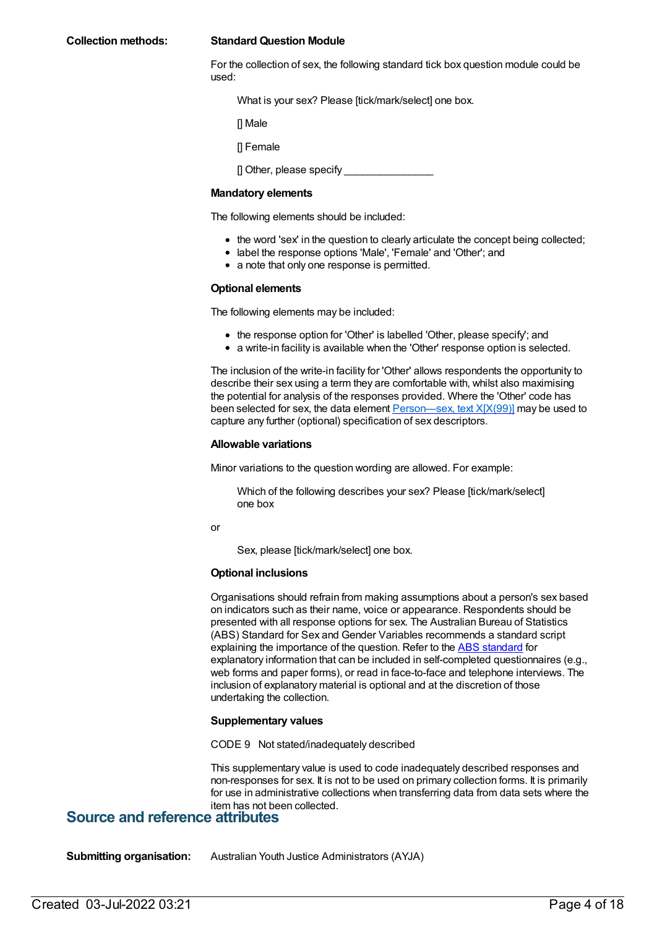For the collection of sex, the following standard tick box question module could be used:

What is your sex? Please [tick/mark/select] one box.

[] Male

[] Female

[] Other, please specify

#### **Mandatory elements**

The following elements should be included:

- the word 'sex' in the question to clearly articulate the concept being collected;
- label the response options 'Male', 'Female' and 'Other'; and
- a note that only one response is permitted.

#### **Optional elements**

The following elements may be included:

- the response option for 'Other' is labelled 'Other, please specify'; and
- a write-in facility is available when the 'Other' response option is selected.

The inclusion of the write-in facility for 'Other' allows respondents the opportunity to describe their sex using a term they are comfortable with, whilst also maximising the potential for analysis of the responses provided. Where the 'Other' code has been selected for sex, the data element  $Person$ —sex, text  $X[X(99)]$  may be used to capture any further (optional) specification of sex descriptors.

#### **Allowable variations**

Minor variations to the question wording are allowed. For example:

Which of the following describes your sex? Please [tick/mark/select] one box

or

Sex, please [tick/mark/select] one box.

#### **Optional inclusions**

Organisations should refrain from making assumptions about a person's sex based on indicators such as their name, voice or appearance. Respondents should be presented with all response options for sex. The Australian Bureau of Statistics (ABS) Standard for Sex and Gender Variables recommends a standard script explaining the importance of the question. Refer to the ABS [standard](http://www.abs.gov.au/ausstats/abs@.nsf/mf/1200.0.55.012) for explanatory information that can be included in self-completed questionnaires (e.g., web forms and paper forms), or read in face-to-face and telephone interviews. The inclusion of explanatory material is optional and at the discretion of those undertaking the collection.

#### **Supplementary values**

CODE 9 Not stated/inadequately described

This supplementary value is used to code inadequately described responses and non-responses for sex. It is not to be used on primary collection forms. It is primarily for use in administrative collections when transferring data from data sets where the item has not been collected.

### **Source and reference attributes**

**Submitting organisation:** Australian Youth Justice Administrators (AYJA)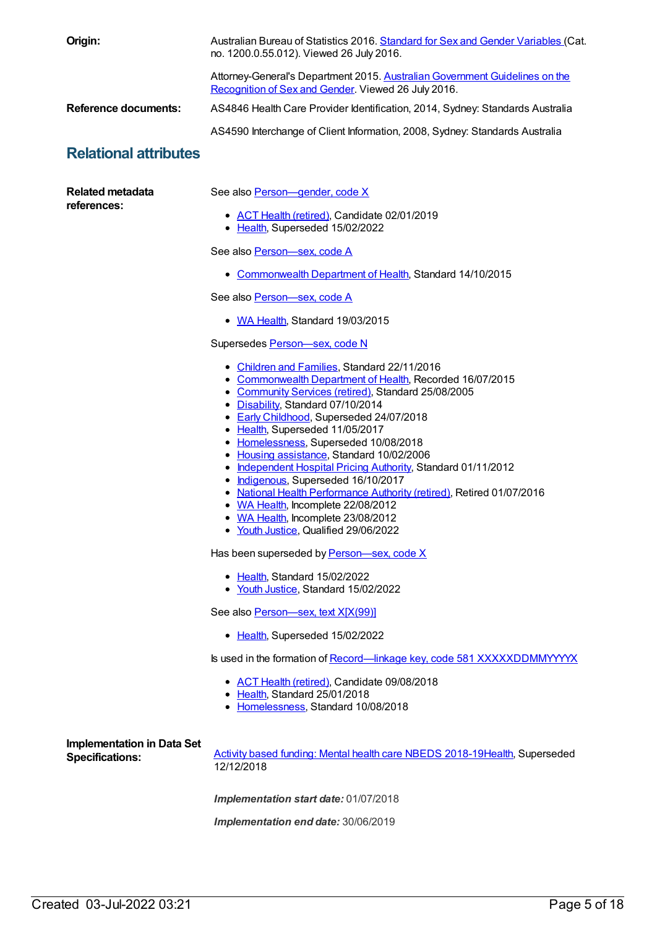| Origin:                                                     | Australian Bureau of Statistics 2016. Standard for Sex and Gender Variables (Cat.<br>no. 1200.0.55.012). Viewed 26 July 2016.                                                                                                                                                                                                                                                                                                                                                                                                                                                                                                                                                   |  |  |
|-------------------------------------------------------------|---------------------------------------------------------------------------------------------------------------------------------------------------------------------------------------------------------------------------------------------------------------------------------------------------------------------------------------------------------------------------------------------------------------------------------------------------------------------------------------------------------------------------------------------------------------------------------------------------------------------------------------------------------------------------------|--|--|
|                                                             | Attorney-General's Department 2015. Australian Government Guidelines on the<br>Recognition of Sex and Gender. Viewed 26 July 2016.                                                                                                                                                                                                                                                                                                                                                                                                                                                                                                                                              |  |  |
| <b>Reference documents:</b>                                 | AS4846 Health Care Provider Identification, 2014, Sydney: Standards Australia                                                                                                                                                                                                                                                                                                                                                                                                                                                                                                                                                                                                   |  |  |
|                                                             | AS4590 Interchange of Client Information, 2008, Sydney: Standards Australia                                                                                                                                                                                                                                                                                                                                                                                                                                                                                                                                                                                                     |  |  |
| <b>Relational attributes</b>                                |                                                                                                                                                                                                                                                                                                                                                                                                                                                                                                                                                                                                                                                                                 |  |  |
| <b>Related metadata</b><br>references:                      | See also Person-gender, code X                                                                                                                                                                                                                                                                                                                                                                                                                                                                                                                                                                                                                                                  |  |  |
|                                                             | • ACT Health (retired), Candidate 02/01/2019<br>• Health, Superseded 15/02/2022                                                                                                                                                                                                                                                                                                                                                                                                                                                                                                                                                                                                 |  |  |
|                                                             | See also Person-sex, code A                                                                                                                                                                                                                                                                                                                                                                                                                                                                                                                                                                                                                                                     |  |  |
|                                                             | • Commonwealth Department of Health, Standard 14/10/2015                                                                                                                                                                                                                                                                                                                                                                                                                                                                                                                                                                                                                        |  |  |
|                                                             | See also Person-sex, code A                                                                                                                                                                                                                                                                                                                                                                                                                                                                                                                                                                                                                                                     |  |  |
|                                                             | • WA Health, Standard 19/03/2015                                                                                                                                                                                                                                                                                                                                                                                                                                                                                                                                                                                                                                                |  |  |
|                                                             | Supersedes Person-sex, code N                                                                                                                                                                                                                                                                                                                                                                                                                                                                                                                                                                                                                                                   |  |  |
|                                                             | • Children and Families, Standard 22/11/2016<br>• Commonwealth Department of Health, Recorded 16/07/2015<br>• Community Services (retired), Standard 25/08/2005<br>• Disability, Standard 07/10/2014<br>• Early Childhood, Superseded 24/07/2018<br>• Health, Superseded 11/05/2017<br>• Homelessness, Superseded 10/08/2018<br>• Housing assistance, Standard 10/02/2006<br>• Independent Hospital Pricing Authority, Standard 01/11/2012<br>• Indigenous, Superseded 16/10/2017<br>• National Health Performance Authority (retired), Retired 01/07/2016<br>• WA Health, Incomplete 22/08/2012<br>• WA Health, Incomplete 23/08/2012<br>• Youth Justice, Qualified 29/06/2022 |  |  |
|                                                             | Has been superseded by Person-sex, code X                                                                                                                                                                                                                                                                                                                                                                                                                                                                                                                                                                                                                                       |  |  |
|                                                             | • Health, Standard 15/02/2022<br>• Youth Justice, Standard 15/02/2022                                                                                                                                                                                                                                                                                                                                                                                                                                                                                                                                                                                                           |  |  |
|                                                             | See also Person-sex, text X[X(99)]                                                                                                                                                                                                                                                                                                                                                                                                                                                                                                                                                                                                                                              |  |  |
|                                                             | • Health, Superseded 15/02/2022                                                                                                                                                                                                                                                                                                                                                                                                                                                                                                                                                                                                                                                 |  |  |
|                                                             | Is used in the formation of Record—linkage key, code 581 XXXXXDDMMYYYYX                                                                                                                                                                                                                                                                                                                                                                                                                                                                                                                                                                                                         |  |  |
|                                                             | • ACT Health (retired), Candidate 09/08/2018<br>• Health, Standard 25/01/2018<br>• Homelessness, Standard 10/08/2018                                                                                                                                                                                                                                                                                                                                                                                                                                                                                                                                                            |  |  |
| <b>Implementation in Data Set</b><br><b>Specifications:</b> | Activity based funding: Mental health care NBEDS 2018-19Health, Superseded<br>12/12/2018                                                                                                                                                                                                                                                                                                                                                                                                                                                                                                                                                                                        |  |  |
|                                                             | Implementation start date: 01/07/2018                                                                                                                                                                                                                                                                                                                                                                                                                                                                                                                                                                                                                                           |  |  |
|                                                             | Implementation end date: 30/06/2019                                                                                                                                                                                                                                                                                                                                                                                                                                                                                                                                                                                                                                             |  |  |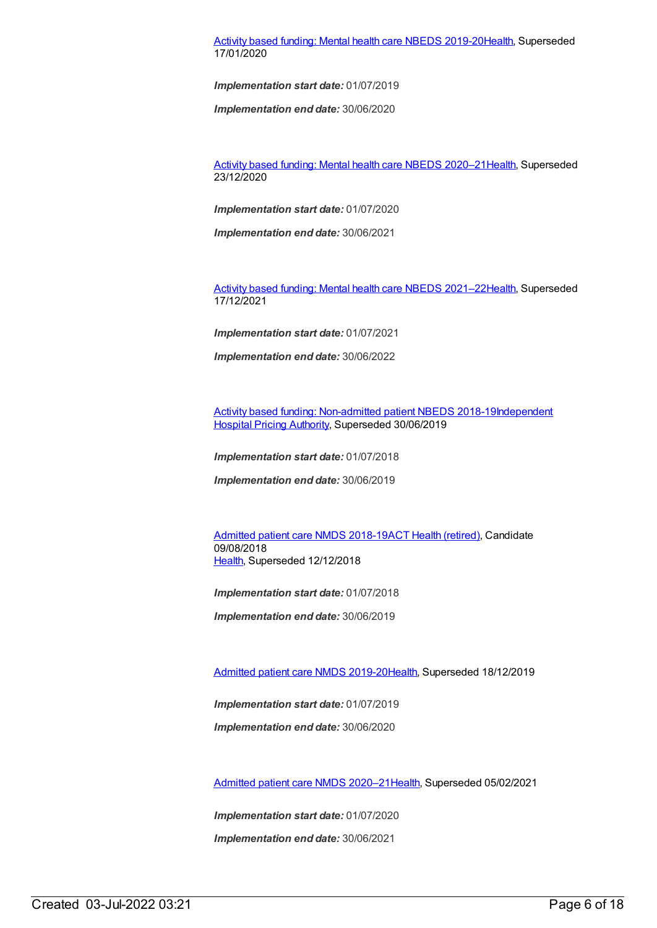#### Activity based funding: Mental health care NBEDS [2019-20](https://meteor.aihw.gov.au/content/699151)[Health](https://meteor.aihw.gov.au/RegistrationAuthority/12), Superseded 17/01/2020

*Implementation start date:* 01/07/2019

*Implementation end date:* 30/06/2020

Activity based funding: Mental health care NBEDS [2020–21](https://meteor.aihw.gov.au/content/715671)[Health](https://meteor.aihw.gov.au/RegistrationAuthority/12), Superseded 23/12/2020

*Implementation start date:* 01/07/2020

*Implementation end date:* 30/06/2021

Activity based funding: Mental health care NBEDS [2021–22](https://meteor.aihw.gov.au/content/735108)[Health](https://meteor.aihw.gov.au/RegistrationAuthority/12), Superseded 17/12/2021

*Implementation start date:* 01/07/2021

*Implementation end date:* 30/06/2022

Activity based funding: [Non-admitted](https://meteor.aihw.gov.au/content/687903) patient NBEDS [2018-19Independent](https://meteor.aihw.gov.au/RegistrationAuthority/3) Hospital Pricing Authority, Superseded 30/06/2019

*Implementation start date:* 01/07/2018

*Implementation end date:* 30/06/2019

[Admitted](https://meteor.aihw.gov.au/content/676382) patient care NMDS 2018-19ACT Health [\(retired\)](https://meteor.aihw.gov.au/RegistrationAuthority/9), Candidate 09/08/2018 [Health](https://meteor.aihw.gov.au/RegistrationAuthority/12), Superseded 12/12/2018

*Implementation start date:* 01/07/2018

*Implementation end date:* 30/06/2019

[Admitted](https://meteor.aihw.gov.au/content/699728) patient care NMDS 2019-20[Health](https://meteor.aihw.gov.au/RegistrationAuthority/12), Superseded 18/12/2019

*Implementation start date:* 01/07/2019

*Implementation end date:* 30/06/2020

[Admitted](https://meteor.aihw.gov.au/content/713850) patient care NMDS 2020–2[1Health](https://meteor.aihw.gov.au/RegistrationAuthority/12), Superseded 05/02/2021

*Implementation start date:* 01/07/2020

*Implementation end date:* 30/06/2021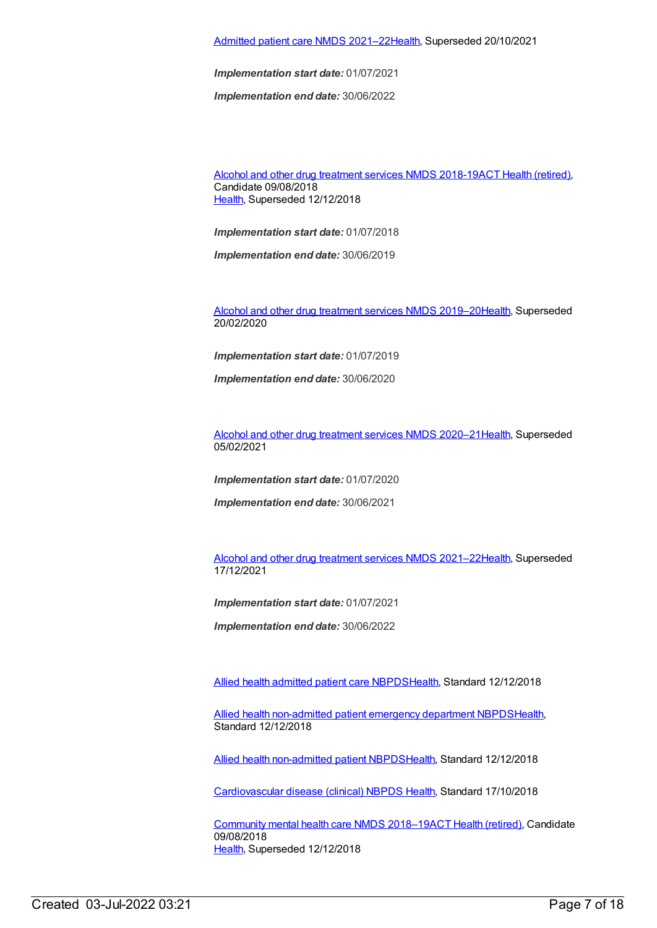#### [Admitted](https://meteor.aihw.gov.au/content/728439) patient care NMDS 2021–2[2Health](https://meteor.aihw.gov.au/RegistrationAuthority/12), Superseded 20/10/2021

*Implementation start date:* 01/07/2021

*Implementation end date:* 30/06/2022

Alcohol and other drug [treatment](https://meteor.aihw.gov.au/content/686596) services NMDS 2018-19ACT Health [\(retired\)](https://meteor.aihw.gov.au/RegistrationAuthority/9), Candidate 09/08/2018 [Health](https://meteor.aihw.gov.au/RegistrationAuthority/12), Superseded 12/12/2018

*Implementation start date:* 01/07/2018

*Implementation end date:* 30/06/2019

Alcohol and other drug [treatment](https://meteor.aihw.gov.au/content/700931) services NMDS 2019–2[0Health](https://meteor.aihw.gov.au/RegistrationAuthority/12), Superseded 20/02/2020

*Implementation start date:* 01/07/2019

*Implementation end date:* 30/06/2020

Alcohol and other drug [treatment](https://meteor.aihw.gov.au/content/717078) services NMDS 2020–2[1Health](https://meteor.aihw.gov.au/RegistrationAuthority/12), Superseded 05/02/2021

*Implementation start date:* 01/07/2020

*Implementation end date:* 30/06/2021

Alcohol and other drug [treatment](https://meteor.aihw.gov.au/content/733903) services NMDS 2021–2[2Health](https://meteor.aihw.gov.au/RegistrationAuthority/12), Superseded 17/12/2021

*Implementation start date:* 01/07/2021

*Implementation end date:* 30/06/2022

Allied health [admitted](https://meteor.aihw.gov.au/content/705499) patient care NBPD[SHealth](https://meteor.aihw.gov.au/RegistrationAuthority/12), Standard 12/12/2018

Allied health [non-admitted](https://meteor.aihw.gov.au/content/705494) patient emergency department NBPD[SHealth](https://meteor.aihw.gov.au/RegistrationAuthority/12), Standard 12/12/2018

Allied health [non-admitted](https://meteor.aihw.gov.au/content/705642) patient NBPDS[Health](https://meteor.aihw.gov.au/RegistrationAuthority/12), Standard 12/12/2018

[Cardiovascular](https://meteor.aihw.gov.au/content/697668) disease (clinical) NBPDS [Health](https://meteor.aihw.gov.au/RegistrationAuthority/12), Standard 17/10/2018

[Community](https://meteor.aihw.gov.au/content/677802) mental health care NMDS 2018–19ACT Health [\(retired\)](https://meteor.aihw.gov.au/RegistrationAuthority/9), Candidate 09/08/2018 [Health](https://meteor.aihw.gov.au/RegistrationAuthority/12), Superseded 12/12/2018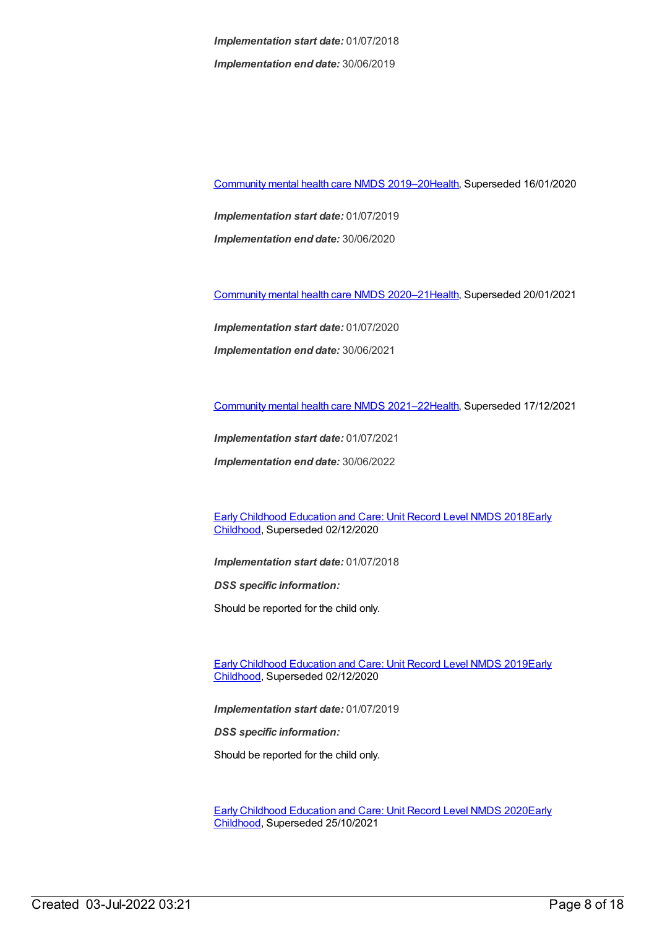*Implementation start date:* 01/07/2018 *Implementation end date:* 30/06/2019

[Community](https://meteor.aihw.gov.au/content/699975) mental health care NMDS 2019–2[0Health](https://meteor.aihw.gov.au/RegistrationAuthority/12), Superseded 16/01/2020

*Implementation start date:* 01/07/2019 *Implementation end date:* 30/06/2020

[Community](https://meteor.aihw.gov.au/content/722221) mental health care NMDS 2020–2[1Health](https://meteor.aihw.gov.au/RegistrationAuthority/12), Superseded 20/01/2021

*Implementation start date:* 01/07/2020

*Implementation end date:* 30/06/2021

[Community](https://meteor.aihw.gov.au/content/727348) mental health care NMDS 2021–2[2Health](https://meteor.aihw.gov.au/RegistrationAuthority/12), Superseded 17/12/2021

*Implementation start date:* 01/07/2021

*Implementation end date:* 30/06/2022

Early Childhood [Education](https://meteor.aihw.gov.au/content/686221) and Care: Unit Record Level NMDS 2018Early Childhood, [Superseded](https://meteor.aihw.gov.au/RegistrationAuthority/13) 02/12/2020

*Implementation start date:* 01/07/2018

*DSS specific information:*

Should be reported for the child only.

Early Childhood [Education](https://meteor.aihw.gov.au/content/731157) and Care: Unit Record Level NMDS 2019Early Childhood, [Superseded](https://meteor.aihw.gov.au/RegistrationAuthority/13) 02/12/2020

*Implementation start date:* 01/07/2019

*DSS specific information:*

Should be reported for the child only.

Early Childhood [Education](https://meteor.aihw.gov.au/content/731168) and Care: Unit Record Level NMDS 2020Early Childhood, [Superseded](https://meteor.aihw.gov.au/RegistrationAuthority/13) 25/10/2021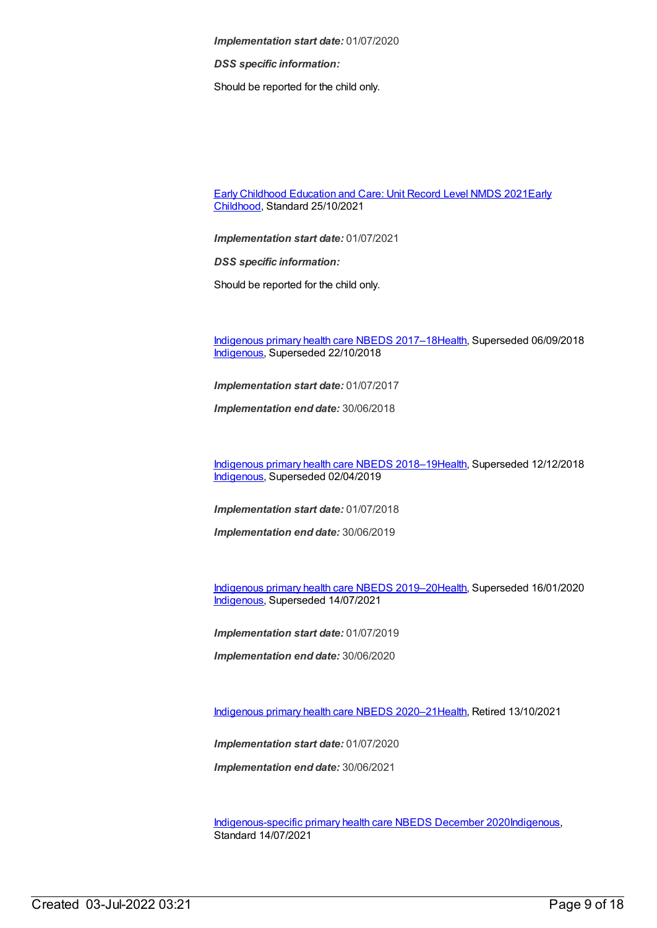*DSS specific information:*

Should be reported for the child only.

Early Childhood [Education](https://meteor.aihw.gov.au/RegistrationAuthority/13) and Care: Unit Record Level NMDS 2021Early Childhood, Standard 25/10/2021

*Implementation start date:* 01/07/2021

*DSS specific information:*

Should be reported for the child only.

[Indigenous](https://meteor.aihw.gov.au/content/686603) primary health care NBEDS 2017–18[Health](https://meteor.aihw.gov.au/RegistrationAuthority/12), Superseded 06/09/2018 [Indigenous](https://meteor.aihw.gov.au/RegistrationAuthority/6), Superseded 22/10/2018

*Implementation start date:* 01/07/2017

*Implementation end date:* 30/06/2018

[Indigenous](https://meteor.aihw.gov.au/content/694101) primary health care NBEDS 2018–19[Health](https://meteor.aihw.gov.au/RegistrationAuthority/12), Superseded 12/12/2018 [Indigenous](https://meteor.aihw.gov.au/RegistrationAuthority/6), Superseded 02/04/2019

*Implementation start date:* 01/07/2018

*Implementation end date:* 30/06/2019

[Indigenous](https://meteor.aihw.gov.au/content/707502) primary health care NBEDS 2019–20[Health](https://meteor.aihw.gov.au/RegistrationAuthority/12), Superseded 16/01/2020 [Indigenous](https://meteor.aihw.gov.au/RegistrationAuthority/6), Superseded 14/07/2021

*Implementation start date:* 01/07/2019

*Implementation end date:* 30/06/2020

[Indigenous](https://meteor.aihw.gov.au/content/715320) primary health care NBEDS 2020–21[Health](https://meteor.aihw.gov.au/RegistrationAuthority/12), Retired 13/10/2021

*Implementation start date:* 01/07/2020

*Implementation end date:* 30/06/2021

[Indigenous-specific](https://meteor.aihw.gov.au/content/738532) primary health care NBEDS December 2020[Indigenous](https://meteor.aihw.gov.au/RegistrationAuthority/6), Standard 14/07/2021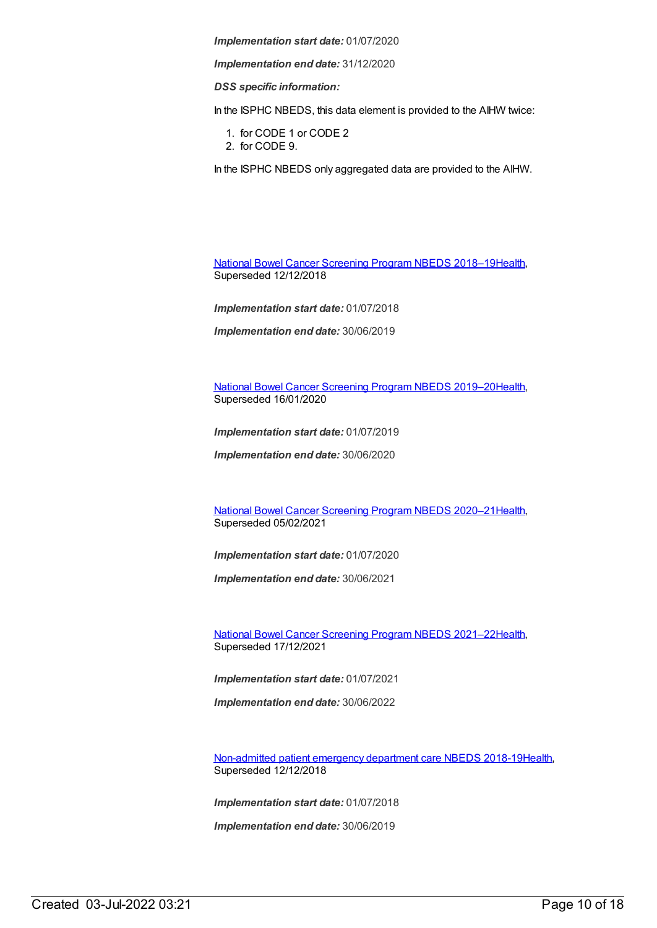*Implementation end date:* 31/12/2020

*DSS specific information:*

In the ISPHC NBEDS, this data element is provided to the AIHW twice:

- 1. for CODE 1 or CODE 2
- 2. for CODE 9.

In the ISPHC NBEDS only aggregated data are provided to the AIHW.

National Bowel Cancer [Screening](https://meteor.aihw.gov.au/content/694107) Program NBEDS 2018–1[9Health](https://meteor.aihw.gov.au/RegistrationAuthority/12), Superseded 12/12/2018

*Implementation start date:* 01/07/2018

*Implementation end date:* 30/06/2019

National Bowel Cancer [Screening](https://meteor.aihw.gov.au/content/707481) Program NBEDS 2019–2[0Health](https://meteor.aihw.gov.au/RegistrationAuthority/12), Superseded 16/01/2020

*Implementation start date:* 01/07/2019

*Implementation end date:* 30/06/2020

National Bowel Cancer [Screening](https://meteor.aihw.gov.au/content/715323) Program NBEDS 2020–2[1Health](https://meteor.aihw.gov.au/RegistrationAuthority/12), Superseded 05/02/2021

*Implementation start date:* 01/07/2020

*Implementation end date:* 30/06/2021

National Bowel Cancer [Screening](https://meteor.aihw.gov.au/content/727407) Program NBEDS 2021–2[2Health](https://meteor.aihw.gov.au/RegistrationAuthority/12), Superseded 17/12/2021

*Implementation start date:* 01/07/2021

*Implementation end date:* 30/06/2022

[Non-admitted](https://meteor.aihw.gov.au/content/676384) patient emergency department care NBEDS 2018-1[9Health](https://meteor.aihw.gov.au/RegistrationAuthority/12), Superseded 12/12/2018

*Implementation start date:* 01/07/2018

*Implementation end date:* 30/06/2019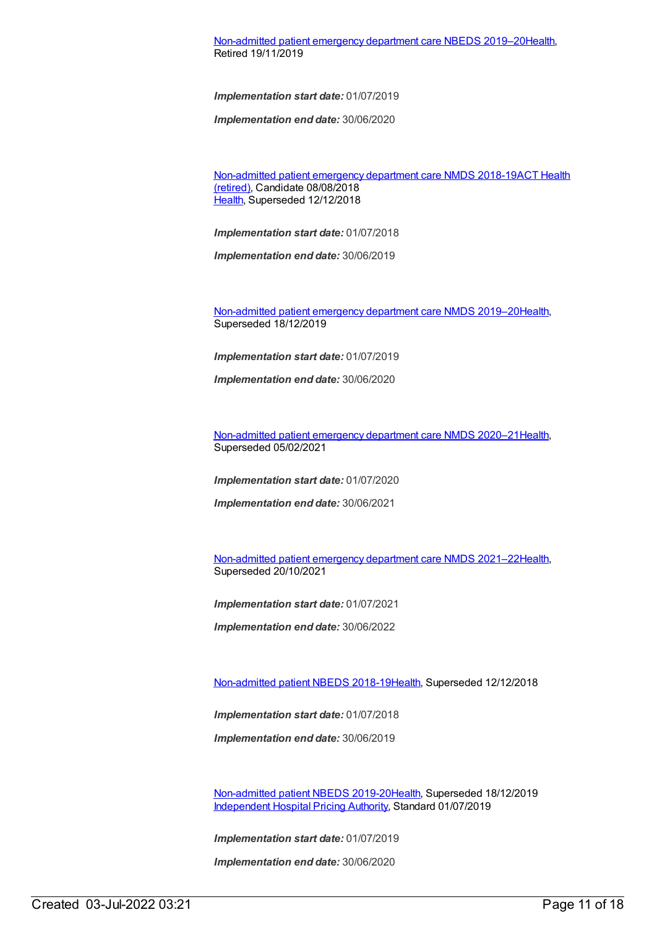#### [Non-admitted](https://meteor.aihw.gov.au/content/708556) patient emergency department care NBEDS 2019–2[0Health](https://meteor.aihw.gov.au/RegistrationAuthority/12), Retired 19/11/2019

*Implementation start date:* 01/07/2019

*Implementation end date:* 30/06/2020

[Non-admitted](https://meteor.aihw.gov.au/RegistrationAuthority/9) patient emergency department care NMDS 2018-19ACT Health (retired), Candidate 08/08/2018 [Health](https://meteor.aihw.gov.au/RegistrationAuthority/12), Superseded 12/12/2018

*Implementation start date:* 01/07/2018

*Implementation end date:* 30/06/2019

[Non-admitted](https://meteor.aihw.gov.au/content/699738) patient emergency department care NMDS 2019–2[0Health](https://meteor.aihw.gov.au/RegistrationAuthority/12), Superseded 18/12/2019

*Implementation start date:* 01/07/2019

*Implementation end date:* 30/06/2020

[Non-admitted](https://meteor.aihw.gov.au/content/713860) patient emergency department care NMDS 2020–2[1Health](https://meteor.aihw.gov.au/RegistrationAuthority/12), Superseded 05/02/2021

*Implementation start date:* 01/07/2020

*Implementation end date:* 30/06/2021

[Non-admitted](https://meteor.aihw.gov.au/content/727360) patient emergency department care NMDS 2021–2[2Health](https://meteor.aihw.gov.au/RegistrationAuthority/12), Superseded 20/10/2021

*Implementation start date:* 01/07/2021

*Implementation end date:* 30/06/2022

[Non-admitted](https://meteor.aihw.gov.au/content/672552) patient NBEDS 2018-19[Health](https://meteor.aihw.gov.au/RegistrationAuthority/12), Superseded 12/12/2018

*Implementation start date:* 01/07/2018

*Implementation end date:* 30/06/2019

[Non-admitted](https://meteor.aihw.gov.au/content/699590) patient NBEDS 2019-20[Health](https://meteor.aihw.gov.au/RegistrationAuthority/12), Superseded 18/12/2019 [Independent](https://meteor.aihw.gov.au/RegistrationAuthority/3) Hospital Pricing Authority, Standard 01/07/2019

*Implementation start date:* 01/07/2019

*Implementation end date:* 30/06/2020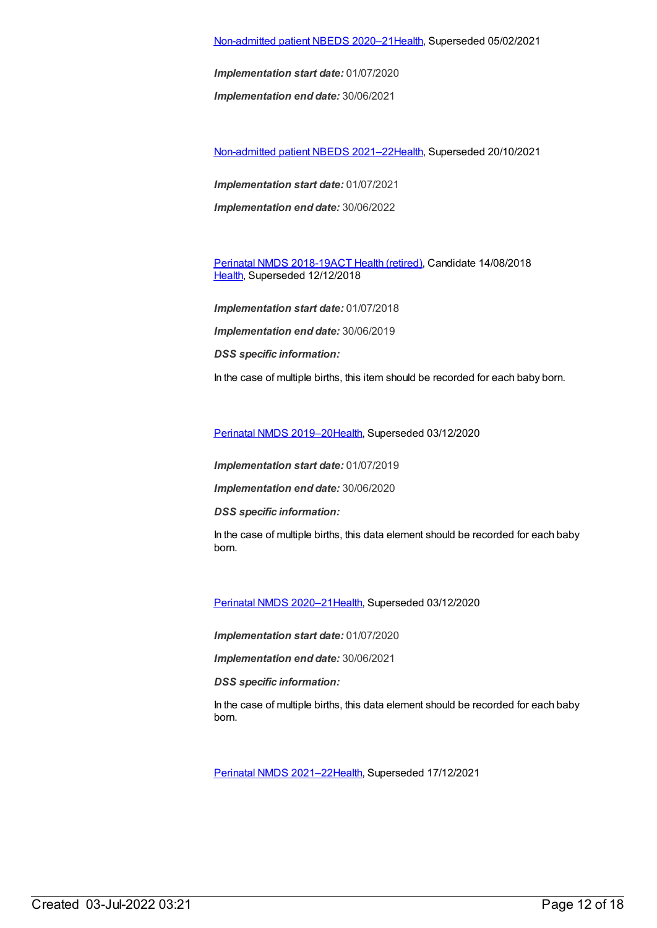[Non-admitted](https://meteor.aihw.gov.au/content/713856) patient NBEDS 2020–2[1Health](https://meteor.aihw.gov.au/RegistrationAuthority/12), Superseded 05/02/2021

*Implementation start date:* 01/07/2020

*Implementation end date:* 30/06/2021

[Non-admitted](https://meteor.aihw.gov.au/content/727331) patient NBEDS 2021–2[2Health](https://meteor.aihw.gov.au/RegistrationAuthority/12), Superseded 20/10/2021

*Implementation start date:* 01/07/2021 *Implementation end date:* 30/06/2022

[Perinatal](https://meteor.aihw.gov.au/content/668811) NMDS 2018-19ACT Health [\(retired\)](https://meteor.aihw.gov.au/RegistrationAuthority/9), Candidate 14/08/2018 [Health](https://meteor.aihw.gov.au/RegistrationAuthority/12), Superseded 12/12/2018

*Implementation start date:* 01/07/2018 *Implementation end date:* 30/06/2019 *DSS specific information:* In the case of multiple births, this item should be recorded for each baby born.

Perinatal NMDS [2019–20](https://meteor.aihw.gov.au/content/694988)[Health](https://meteor.aihw.gov.au/RegistrationAuthority/12), Superseded 03/12/2020

*Implementation start date:* 01/07/2019

*Implementation end date:* 30/06/2020

*DSS specific information:*

In the case of multiple births, this data element should be recorded for each baby born.

Perinatal NMDS [2020–21](https://meteor.aihw.gov.au/content/716081)[Health](https://meteor.aihw.gov.au/RegistrationAuthority/12), Superseded 03/12/2020

*Implementation start date:* 01/07/2020

*Implementation end date:* 30/06/2021

*DSS specific information:*

In the case of multiple births, this data element should be recorded for each baby born.

Perinatal NMDS [2021–22](https://meteor.aihw.gov.au/content/727291)[Health](https://meteor.aihw.gov.au/RegistrationAuthority/12), Superseded 17/12/2021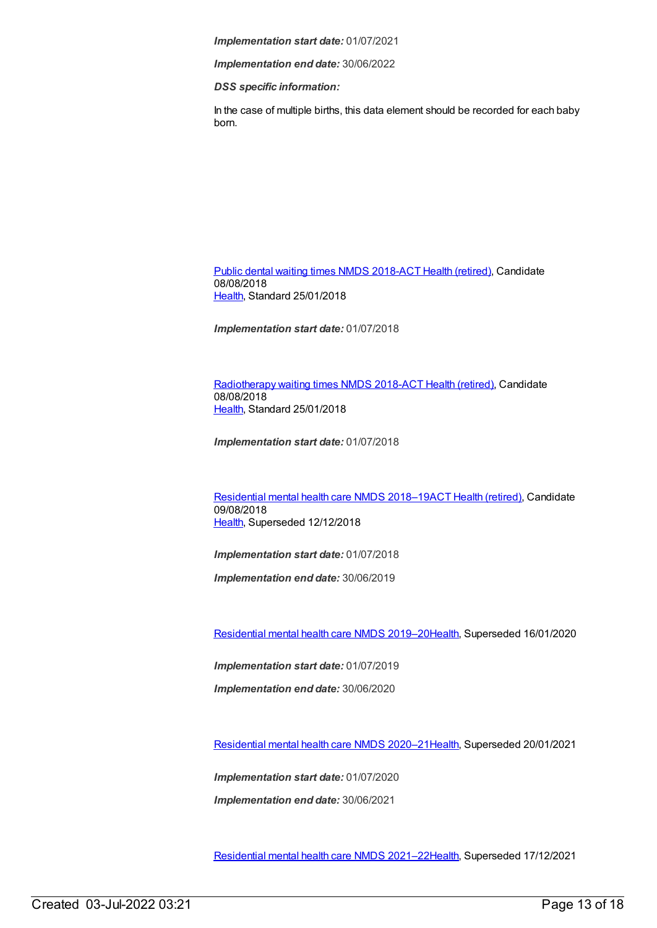*Implementation end date:* 30/06/2022

*DSS specific information:*

In the case of multiple births, this data element should be recorded for each baby born.

Public dental [waiting](https://meteor.aihw.gov.au/content/686200) times NMDS 2018-ACT Health [\(retired\)](https://meteor.aihw.gov.au/RegistrationAuthority/9), Candidate 08/08/2018 [Health](https://meteor.aihw.gov.au/RegistrationAuthority/12), Standard 25/01/2018

*Implementation start date:* 01/07/2018

[Radiotherapy](https://meteor.aihw.gov.au/content/686202) waiting times NMDS 2018-ACT Health [\(retired\)](https://meteor.aihw.gov.au/RegistrationAuthority/9), Candidate 08/08/2018 [Health](https://meteor.aihw.gov.au/RegistrationAuthority/12), Standard 25/01/2018

*Implementation start date:* 01/07/2018

[Residential](https://meteor.aihw.gov.au/content/685927) mental health care NMDS 2018–19ACT Health [\(retired\)](https://meteor.aihw.gov.au/RegistrationAuthority/9), Candidate 09/08/2018 [Health](https://meteor.aihw.gov.au/RegistrationAuthority/12), Superseded 12/12/2018

*Implementation start date:* 01/07/2018

*Implementation end date:* 30/06/2019

[Residential](https://meteor.aihw.gov.au/content/707512) mental health care NMDS 2019–2[0Health](https://meteor.aihw.gov.au/RegistrationAuthority/12), Superseded 16/01/2020

*Implementation start date:* 01/07/2019

*Implementation end date:* 30/06/2020

[Residential](https://meteor.aihw.gov.au/content/722224) mental health care NMDS 2020–2[1Health](https://meteor.aihw.gov.au/RegistrationAuthority/12), Superseded 20/01/2021

*Implementation start date:* 01/07/2020

*Implementation end date:* 30/06/2021

[Residential](https://meteor.aihw.gov.au/content/727354) mental health care NMDS 2021–2[2Health](https://meteor.aihw.gov.au/RegistrationAuthority/12), Superseded 17/12/2021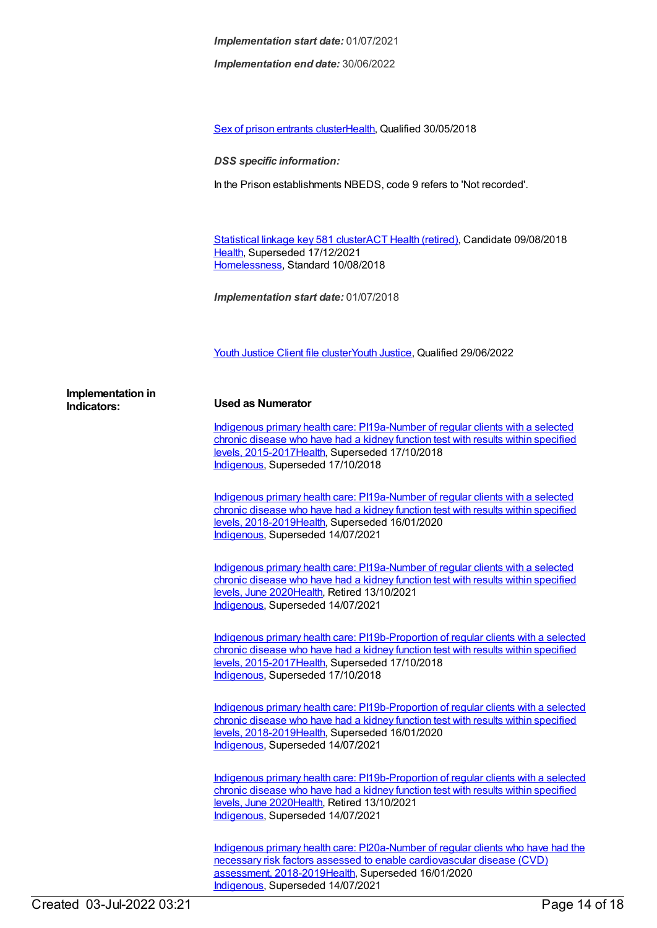*Implementation end date:* 30/06/2022

Sex of prison [entrants](https://meteor.aihw.gov.au/content/696763) cluster[Health,](https://meteor.aihw.gov.au/RegistrationAuthority/12) Qualified 30/05/2018

*DSS specific information:*

In the Prison establishments NBEDS, code 9 refers to 'Not recorded'.

[Statistical](https://meteor.aihw.gov.au/content/686238) linkage key 581 clusterACT Health [\(retired\)](https://meteor.aihw.gov.au/RegistrationAuthority/9), Candidate 09/08/2018 [Health](https://meteor.aihw.gov.au/RegistrationAuthority/12), Superseded 17/12/2021 [Homelessness](https://meteor.aihw.gov.au/RegistrationAuthority/14), Standard 10/08/2018

*Implementation start date:* 01/07/2018

Youth [Justice](https://meteor.aihw.gov.au/content/755693) Client file clusterYouth [Justice](https://meteor.aihw.gov.au/RegistrationAuthority/4), Qualified 29/06/2022

| Implementation in |  |
|-------------------|--|
| Indicators:       |  |

#### **Indicators: Used as Numerator**

Indigenous primary health care: PI19a-Number of regular clients with a selected chronic disease who have had a kidney function test with results within specified levels, [2015-2017Health,](https://meteor.aihw.gov.au/content/686366) Superseded 17/10/2018 [Indigenous](https://meteor.aihw.gov.au/RegistrationAuthority/6), Superseded 17/10/2018

Indigenous primary health care: PI19a-Number of regular clients with a selected chronic disease who have had a kidney function test with results within specified levels, [2018-2019Health,](https://meteor.aihw.gov.au/content/688000) Superseded 16/01/2020 [Indigenous](https://meteor.aihw.gov.au/RegistrationAuthority/6), Superseded 14/07/2021

Indigenous primary health care: [PI19a-Number](https://meteor.aihw.gov.au/content/717342) of regular clients with a selected chronic disease who have had a kidney function test with results within specified levels, June 202[0Health](https://meteor.aihw.gov.au/RegistrationAuthority/12), Retired 13/10/2021 [Indigenous](https://meteor.aihw.gov.au/RegistrationAuthority/6), Superseded 14/07/2021

Indigenous primary health care: [PI19b-Proportion](https://meteor.aihw.gov.au/content/686368) of regular clients with a selected chronic disease who have had a kidney function test with results within specified levels, 2015-201[7Health,](https://meteor.aihw.gov.au/RegistrationAuthority/12) Superseded 17/10/2018 [Indigenous](https://meteor.aihw.gov.au/RegistrationAuthority/6), Superseded 17/10/2018

Indigenous primary health care: [PI19b-Proportion](https://meteor.aihw.gov.au/content/688002) of regular clients with a selected chronic disease who have had a kidney function test with results within specified levels, 2018-201[9Health,](https://meteor.aihw.gov.au/RegistrationAuthority/12) Superseded 16/01/2020 [Indigenous](https://meteor.aihw.gov.au/RegistrationAuthority/6), Superseded 14/07/2021

Indigenous primary health care: [PI19b-Proportion](https://meteor.aihw.gov.au/content/717344) of regular clients with a selected chronic disease who have had a kidney function test with results within specified levels, June 202[0Health](https://meteor.aihw.gov.au/RegistrationAuthority/12), Retired 13/10/2021 [Indigenous](https://meteor.aihw.gov.au/RegistrationAuthority/6), Superseded 14/07/2021

Indigenous primary health care: PI20a-Number of regular clients who have had the necessary risk factors assessed to enable cardiovascular disease (CVD) assessment, [2018-2019Health,](https://meteor.aihw.gov.au/content/688004) Superseded 16/01/2020 [Indigenous](https://meteor.aihw.gov.au/RegistrationAuthority/6), Superseded 14/07/2021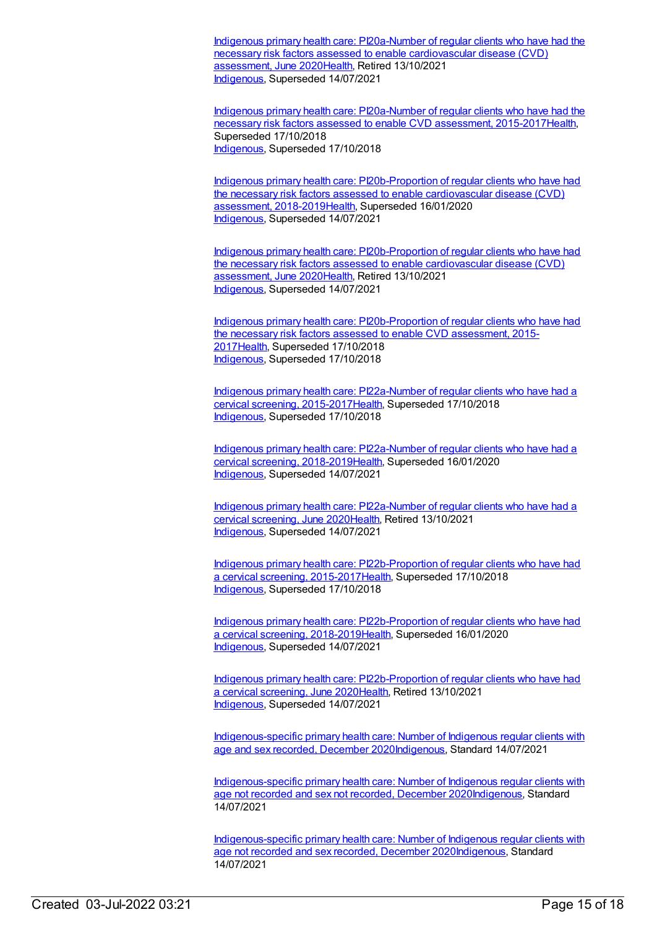Indigenous primary health care: [PI20a-Number](https://meteor.aihw.gov.au/content/717348) of regular clients who have had the necessary risk factors assessed to enable cardiovascular disease (CVD) assessment, June 202[0Health](https://meteor.aihw.gov.au/RegistrationAuthority/12), Retired 13/10/2021 [Indigenous](https://meteor.aihw.gov.au/RegistrationAuthority/6), Superseded 14/07/2021

Indigenous primary health care: PI20a-Number of regular clients who have had the necessary risk factors assessed to enable CVD assessment, [2015-2017](https://meteor.aihw.gov.au/content/686370)[Healt](https://meteor.aihw.gov.au/RegistrationAuthority/12)[h,](https://meteor.aihw.gov.au/content/686370) Superseded 17/10/2018 [Indigenous](https://meteor.aihw.gov.au/RegistrationAuthority/6), Superseded 17/10/2018

Indigenous primary health care: [PI20b-Proportion](https://meteor.aihw.gov.au/content/688007) of regular clients who have had the necessary risk factors assessed to enable cardiovascular disease (CVD) assessment, 2018-2019[Health,](https://meteor.aihw.gov.au/RegistrationAuthority/12) Superseded 16/01/2020 [Indigenous](https://meteor.aihw.gov.au/RegistrationAuthority/6), Superseded 14/07/2021

Indigenous primary health care: [PI20b-Proportion](https://meteor.aihw.gov.au/content/717350) of regular clients who have had the necessary risk factors assessed to enable cardiovascular disease (CVD) assessment, June 202[0Health](https://meteor.aihw.gov.au/RegistrationAuthority/12), Retired 13/10/2021 [Indigenous](https://meteor.aihw.gov.au/RegistrationAuthority/6), Superseded 14/07/2021

Indigenous primary health care: [PI20b-Proportion](https://meteor.aihw.gov.au/content/686372) of regular clients who have had the necessary risk factors assessed to enable CVD assessment, 2015- 201[7Health](https://meteor.aihw.gov.au/RegistrationAuthority/12), Superseded 17/10/2018 [Indigenous](https://meteor.aihw.gov.au/RegistrationAuthority/6), Superseded 17/10/2018

Indigenous primary health care: PI22a-Number of regular clients who have had a cervical screening, [2015-2017Health,](https://meteor.aihw.gov.au/content/686323) Superseded 17/10/2018 [Indigenous](https://meteor.aihw.gov.au/RegistrationAuthority/6), Superseded 17/10/2018

Indigenous primary health care: PI22a-Number of regular clients who have had a cervical screening, [2018-2019Health,](https://meteor.aihw.gov.au/content/688014) Superseded 16/01/2020 [Indigenous](https://meteor.aihw.gov.au/RegistrationAuthority/6), Superseded 14/07/2021

Indigenous primary health care: [PI22a-Number](https://meteor.aihw.gov.au/content/717356) of regular clients who have had a cervical screening, June 202[0Health](https://meteor.aihw.gov.au/RegistrationAuthority/12), Retired 13/10/2021 [Indigenous](https://meteor.aihw.gov.au/RegistrationAuthority/6), Superseded 14/07/2021

Indigenous primary health care: [PI22b-Proportion](https://meteor.aihw.gov.au/content/686306) of regular clients who have had a cervical screening, 2015-2017[Health](https://meteor.aihw.gov.au/RegistrationAuthority/12), Superseded 17/10/2018 [Indigenous](https://meteor.aihw.gov.au/RegistrationAuthority/6), Superseded 17/10/2018

Indigenous primary health care: [PI22b-Proportion](https://meteor.aihw.gov.au/content/688016) of regular clients who have had a cervical screening, 2018-2019[Health](https://meteor.aihw.gov.au/RegistrationAuthority/12), Superseded 16/01/2020 [Indigenous](https://meteor.aihw.gov.au/RegistrationAuthority/6), Superseded 14/07/2021

Indigenous primary health care: [PI22b-Proportion](https://meteor.aihw.gov.au/content/717358) of regular clients who have had a cervical screening, June 2020[Health,](https://meteor.aihw.gov.au/RegistrationAuthority/12) Retired 13/10/2021 [Indigenous](https://meteor.aihw.gov.au/RegistrationAuthority/6), Superseded 14/07/2021

[Indigenous-specific](https://meteor.aihw.gov.au/content/742530) primary health care: Number of Indigenous regular clients with age and sex recorded, December 202[0Indigenous,](https://meteor.aihw.gov.au/RegistrationAuthority/6) Standard 14/07/2021

[Indigenous-specific](https://meteor.aihw.gov.au/content/742533) primary health care: Number of Indigenous regular clients with age not recorded and sex not recorded, December 202[0Indigenous](https://meteor.aihw.gov.au/RegistrationAuthority/6), Standard 14/07/2021

[Indigenous-specific](https://meteor.aihw.gov.au/content/742536) primary health care: Number of Indigenous regular clients with age not recorded and sex recorded, December 202[0Indigenous](https://meteor.aihw.gov.au/RegistrationAuthority/6), Standard 14/07/2021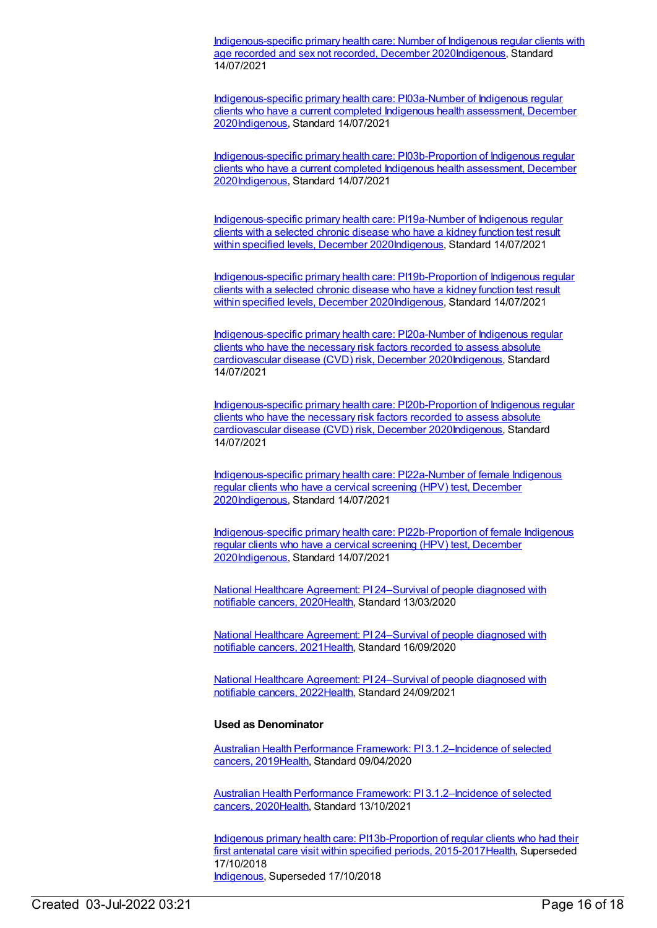[Indigenous-specific](https://meteor.aihw.gov.au/content/742541) primary health care: Number of Indigenous regular clients with age recorded and sex not recorded, December 202[0Indigenous](https://meteor.aihw.gov.au/RegistrationAuthority/6), Standard 14/07/2021

[Indigenous-specific](https://meteor.aihw.gov.au/content/731791) primary health care: PI03a-Number of Indigenous regular clients who have a current completed Indigenous health assessment, December 202[0Indigenous](https://meteor.aihw.gov.au/RegistrationAuthority/6), Standard 14/07/2021

[Indigenous-specific](https://meteor.aihw.gov.au/content/731804) primary health care: PI03b-Proportion of Indigenous regular clients who have a current completed Indigenous health assessment, December 202[0Indigenous](https://meteor.aihw.gov.au/RegistrationAuthority/6), Standard 14/07/2021

[Indigenous-specific](https://meteor.aihw.gov.au/content/739450) primary health care: PI19a-Number of Indigenous regular clients with a selected chronic disease who have a kidney function test result within specified levels, December 202[0Indigenous](https://meteor.aihw.gov.au/RegistrationAuthority/6), Standard 14/07/2021

[Indigenous-specific](https://meteor.aihw.gov.au/content/739454) primary health care: PI19b-Proportion of Indigenous regular clients with a selected chronic disease who have a kidney function test result within specified levels, December 202[0Indigenous](https://meteor.aihw.gov.au/RegistrationAuthority/6), Standard 14/07/2021

[Indigenous-specific](https://meteor.aihw.gov.au/content/739463) primary health care: PI20a-Number of Indigenous regular clients who have the necessary risk factors recorded to assess absolute cardiovascular disease (CVD) risk, December 202[0Indigenous](https://meteor.aihw.gov.au/RegistrationAuthority/6), Standard 14/07/2021

[Indigenous-specific](https://meteor.aihw.gov.au/content/739465) primary health care: PI20b-Proportion of Indigenous regular clients who have the necessary risk factors recorded to assess absolute cardiovascular disease (CVD) risk, December 202[0Indigenous](https://meteor.aihw.gov.au/RegistrationAuthority/6), Standard 14/07/2021

[Indigenous-specific](https://meteor.aihw.gov.au/content/731858) primary health care: PI22a-Number of female Indigenous regular clients who have a cervical screening (HPV) test, December 202[0Indigenous](https://meteor.aihw.gov.au/RegistrationAuthority/6), Standard 14/07/2021

[Indigenous-specific](https://meteor.aihw.gov.au/content/731863) primary health care: PI22b-Proportion of female Indigenous regular clients who have a cervical screening (HPV) test, December 202[0Indigenous](https://meteor.aihw.gov.au/RegistrationAuthority/6), Standard 14/07/2021

National Healthcare Agreement: PI [24–Survival](https://meteor.aihw.gov.au/content/716829) of people diagnosed with notifiable cancers, 202[0Health](https://meteor.aihw.gov.au/RegistrationAuthority/12), Standard 13/03/2020

National Healthcare Agreement: PI [24–Survival](https://meteor.aihw.gov.au/content/725775) of people diagnosed with notifiable cancers, 202[1Health](https://meteor.aihw.gov.au/RegistrationAuthority/12), Standard 16/09/2020

National Healthcare Agreement: PI [24–Survival](https://meteor.aihw.gov.au/content/740830) of people diagnosed with notifiable cancers, 202[2Health](https://meteor.aihw.gov.au/RegistrationAuthority/12), Standard 24/09/2021

#### **Used as Denominator**

Australian Health Performance Framework: PI [3.1.2–Incidence](https://meteor.aihw.gov.au/content/715297) of selected cancers, 2019[Health,](https://meteor.aihw.gov.au/RegistrationAuthority/12) Standard 09/04/2020

Australian Health Performance Framework: PI [3.1.2–Incidence](https://meteor.aihw.gov.au/content/728385) of selected cancers, 2020[Health,](https://meteor.aihw.gov.au/RegistrationAuthority/12) Standard 13/10/2021

Indigenous primary health care: [PI13b-Proportion](https://meteor.aihw.gov.au/content/686477) of regular clients who had their first antenatal care visit within specified periods, 2015-2017 Health, Superseded 17/10/2018 [Indigenous](https://meteor.aihw.gov.au/RegistrationAuthority/6), Superseded 17/10/2018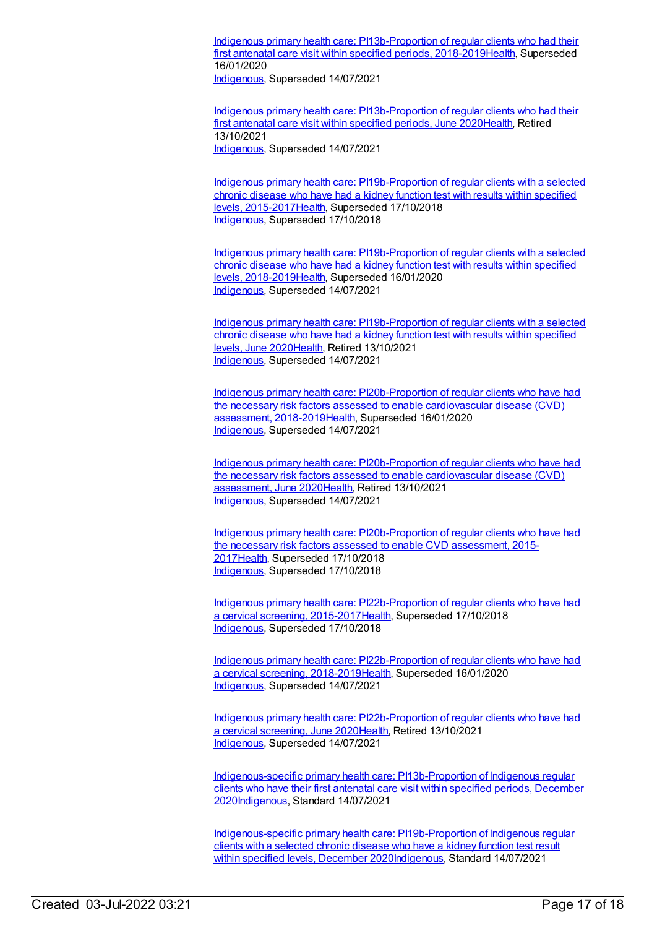Indigenous primary health care: [PI13b-Proportion](https://meteor.aihw.gov.au/content/687976) of regular clients who had their first antenatal care visit within specified periods, 2018-201[9Health](https://meteor.aihw.gov.au/RegistrationAuthority/12), Superseded 16/01/2020

[Indigenous](https://meteor.aihw.gov.au/RegistrationAuthority/6), Superseded 14/07/2021

Indigenous primary health care: [PI13b-Proportion](https://meteor.aihw.gov.au/content/717318) of regular clients who had their first antenatal care visit within specified periods, June 202[0Health](https://meteor.aihw.gov.au/RegistrationAuthority/12), Retired 13/10/2021 [Indigenous](https://meteor.aihw.gov.au/RegistrationAuthority/6), Superseded 14/07/2021

Indigenous primary health care: [PI19b-Proportion](https://meteor.aihw.gov.au/content/686368) of regular clients with a selected chronic disease who have had a kidney function test with results within specified levels, 2015-201[7Health,](https://meteor.aihw.gov.au/RegistrationAuthority/12) Superseded 17/10/2018 [Indigenous](https://meteor.aihw.gov.au/RegistrationAuthority/6), Superseded 17/10/2018

Indigenous primary health care: [PI19b-Proportion](https://meteor.aihw.gov.au/content/688002) of regular clients with a selected chronic disease who have had a kidney function test with results within specified levels, 2018-201[9Health,](https://meteor.aihw.gov.au/RegistrationAuthority/12) Superseded 16/01/2020 [Indigenous](https://meteor.aihw.gov.au/RegistrationAuthority/6), Superseded 14/07/2021

Indigenous primary health care: [PI19b-Proportion](https://meteor.aihw.gov.au/content/717344) of regular clients with a selected chronic disease who have had a kidney function test with results within specified levels, June 202[0Health](https://meteor.aihw.gov.au/RegistrationAuthority/12), Retired 13/10/2021 [Indigenous](https://meteor.aihw.gov.au/RegistrationAuthority/6), Superseded 14/07/2021

Indigenous primary health care: [PI20b-Proportion](https://meteor.aihw.gov.au/content/688007) of regular clients who have had the necessary risk factors assessed to enable cardiovascular disease (CVD) assessment, 2018-2019[Health,](https://meteor.aihw.gov.au/RegistrationAuthority/12) Superseded 16/01/2020 [Indigenous](https://meteor.aihw.gov.au/RegistrationAuthority/6), Superseded 14/07/2021

Indigenous primary health care: [PI20b-Proportion](https://meteor.aihw.gov.au/content/717350) of regular clients who have had the necessary risk factors assessed to enable cardiovascular disease (CVD) assessment, June 202[0Health](https://meteor.aihw.gov.au/RegistrationAuthority/12), Retired 13/10/2021 [Indigenous](https://meteor.aihw.gov.au/RegistrationAuthority/6), Superseded 14/07/2021

Indigenous primary health care: [PI20b-Proportion](https://meteor.aihw.gov.au/content/686372) of regular clients who have had the necessary risk factors assessed to enable CVD assessment, 2015- 201[7Health](https://meteor.aihw.gov.au/RegistrationAuthority/12), Superseded 17/10/2018 [Indigenous](https://meteor.aihw.gov.au/RegistrationAuthority/6), Superseded 17/10/2018

Indigenous primary health care: [PI22b-Proportion](https://meteor.aihw.gov.au/content/686306) of regular clients who have had a cervical screening, 2015-2017[Health](https://meteor.aihw.gov.au/RegistrationAuthority/12), Superseded 17/10/2018 [Indigenous](https://meteor.aihw.gov.au/RegistrationAuthority/6), Superseded 17/10/2018

Indigenous primary health care: [PI22b-Proportion](https://meteor.aihw.gov.au/content/688016) of regular clients who have had a cervical screening, 2018-2019[Health](https://meteor.aihw.gov.au/RegistrationAuthority/12), Superseded 16/01/2020 [Indigenous](https://meteor.aihw.gov.au/RegistrationAuthority/6), Superseded 14/07/2021

Indigenous primary health care: [PI22b-Proportion](https://meteor.aihw.gov.au/content/717358) of regular clients who have had a cervical screening, June 2020[Health,](https://meteor.aihw.gov.au/RegistrationAuthority/12) Retired 13/10/2021 [Indigenous](https://meteor.aihw.gov.au/RegistrationAuthority/6), Superseded 14/07/2021

[Indigenous-specific](https://meteor.aihw.gov.au/content/739391) primary health care: PI13b-Proportion of Indigenous regular clients who have their first antenatal care visit within specified periods, December 202[0Indigenous](https://meteor.aihw.gov.au/RegistrationAuthority/6), Standard 14/07/2021

[Indigenous-specific](https://meteor.aihw.gov.au/content/739454) primary health care: PI19b-Proportion of Indigenous regular clients with a selected chronic disease who have a kidney function test result within specified levels, December 202[0Indigenous](https://meteor.aihw.gov.au/RegistrationAuthority/6), Standard 14/07/2021